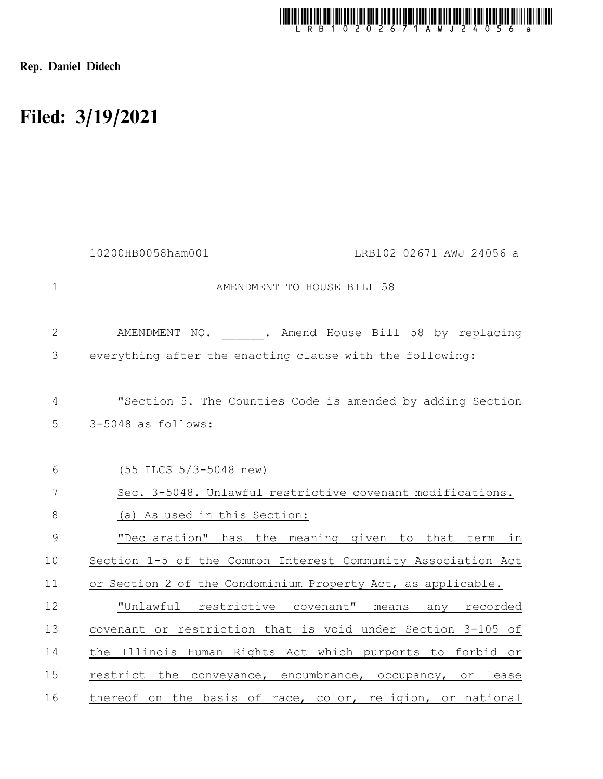

Rep. Daniel Didech

## Filed: 3/19/2021

|                | 10200HB0058ham001<br>LRB102 02671 AWJ 24056 a                |
|----------------|--------------------------------------------------------------|
| $\mathbf 1$    | AMENDMENT TO HOUSE BILL 58                                   |
| $\mathbf{2}$   | AMENDMENT NO. . Amend House Bill 58 by replacing             |
| 3              | everything after the enacting clause with the following:     |
| $\overline{4}$ | "Section 5. The Counties Code is amended by adding Section   |
| 5              | 3-5048 as follows:                                           |
| 6              | (55 ILCS 5/3-5048 new)                                       |
| 7              | Sec. 3-5048. Unlawful restrictive covenant modifications.    |
| $8\,$          | (a) As used in this Section:                                 |
| $\mathsf 9$    | "Declaration" has the meaning given to that term in          |
| 10             | Section 1-5 of the Common Interest Community Association Act |
| 11             | or Section 2 of the Condominium Property Act, as applicable. |
| 12             | "Unlawful restrictive covenant" means<br>any<br>recorded     |
| 13             | covenant or restriction that is void under Section 3-105 of  |
| 14             | the Illinois Human Rights Act which purports to forbid or    |
| 15             | restrict the conveyance, encumbrance, occupancy, or lease    |
| 16             | thereof on the basis of race, color, religion, or national   |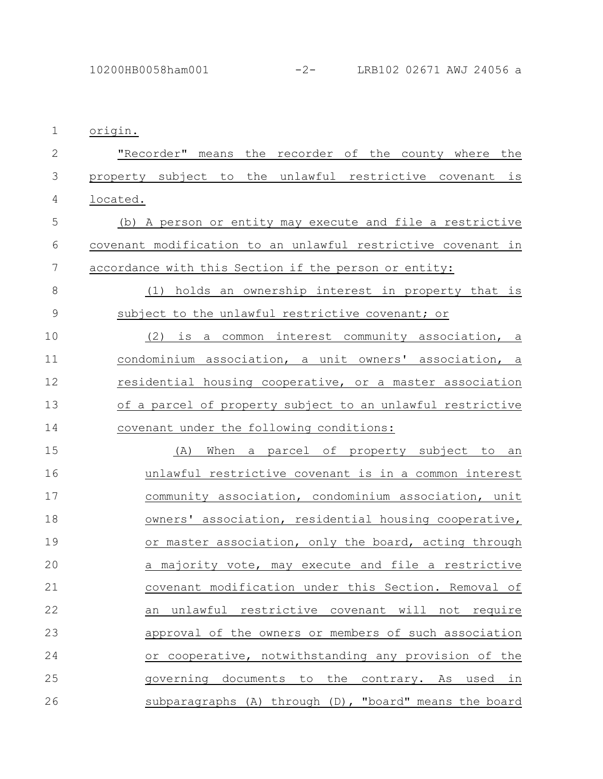origin. 1

"Recorder" means the recorder of the county where the property subject to the unlawful restrictive covenant is located. 2 3 4

(b) A person or entity may execute and file a restrictive covenant modification to an unlawful restrictive covenant in accordance with this Section if the person or entity: 5 6 7

(1) holds an ownership interest in property that is subject to the unlawful restrictive covenant; or 8 9

(2) is a common interest community association, a condominium association, a unit owners' association, a residential housing cooperative, or a master association of a parcel of property subject to an unlawful restrictive covenant under the following conditions: 10 11 12 13 14

(A) When a parcel of property subject to an unlawful restrictive covenant is in a common interest community association, condominium association, unit owners' association, residential housing cooperative, or master association, only the board, acting through a majority vote, may execute and file a restrictive covenant modification under this Section. Removal of an unlawful restrictive covenant will not require approval of the owners or members of such association or cooperative, notwithstanding any provision of the governing documents to the contrary. As used in subparagraphs (A) through (D), "board" means the board 15 16 17 18 19 20 21 22 23 24 25 26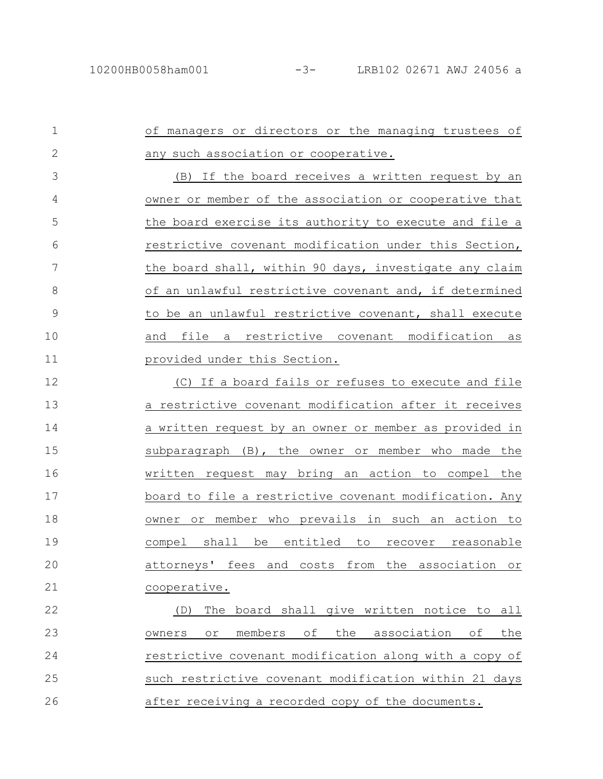of managers or directors or the managing trustees of any such association or cooperative. (B) If the board receives a written request by an owner or member of the association or cooperative that the board exercise its authority to execute and file a restrictive covenant modification under this Section, the board shall, within 90 days, investigate any claim of an unlawful restrictive covenant and, if determined to be an unlawful restrictive covenant, shall execute and file a restrictive covenant modification as provided under this Section. (C) If a board fails or refuses to execute and file a restrictive covenant modification after it receives a written request by an owner or member as provided in subparagraph (B), the owner or member who made the written request may bring an action to compel the board to file a restrictive covenant modification. Any 1 2 3 4 5 6 7 8 9 10 11 12 13 14 15 16 17

owner or member who prevails in such an action to compel shall be entitled to recover reasonable attorneys' fees and costs from the association or cooperative. 18 19 20 21

(D) The board shall give written notice to all owners or members of the association of the restrictive covenant modification along with a copy of such restrictive covenant modification within 21 days after receiving a recorded copy of the documents. 22 23 24 25 26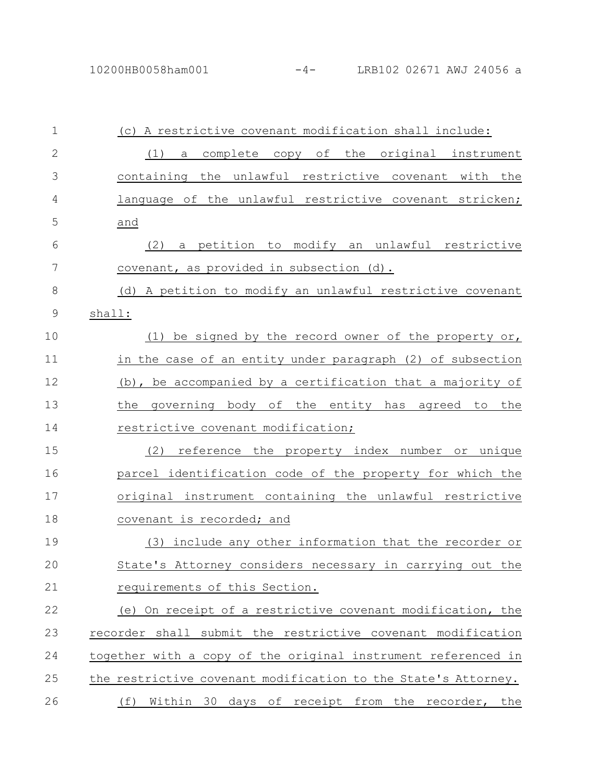| $\mathbf{1}$ | (c) A restrictive covenant modification shall include:         |
|--------------|----------------------------------------------------------------|
| $\mathbf{2}$ | a complete copy of the original instrument<br>(1)              |
| 3            | containing the unlawful restrictive covenant with the          |
| 4            | language of the unlawful restrictive covenant stricken;        |
| 5            | and                                                            |
| 6            | a petition to modify an unlawful restrictive<br>(2)            |
| 7            | covenant, as provided in subsection (d).                       |
| 8            | (d) A petition to modify an unlawful restrictive covenant      |
| 9            | shall:                                                         |
| 10           | (1) be signed by the record owner of the property or,          |
| 11           | in the case of an entity under paragraph (2) of subsection     |
| 12           | (b), be accompanied by a certification that a majority of      |
| 13           | governing body of the entity has agreed to the<br>the          |
| 14           | restrictive covenant modification;                             |
| 15           | (2)<br>reference the property index number or unique           |
| 16           | parcel identification code of the property for which the       |
| 17           | original instrument containing the unlawful restrictive        |
| 18           | covenant is recorded; and                                      |
| 19           | (3) include any other information that the recorder or         |
| 20           | State's Attorney considers necessary in carrying out the       |
| 21           | requirements of this Section.                                  |
| 22           | (e) On receipt of a restrictive covenant modification, the     |
| 23           | recorder shall submit the restrictive covenant modification    |
| 24           | together with a copy of the original instrument referenced in  |
| 25           | the restrictive covenant modification to the State's Attorney. |
| 26           | Within 30 days of receipt from the recorder, the<br>(f)        |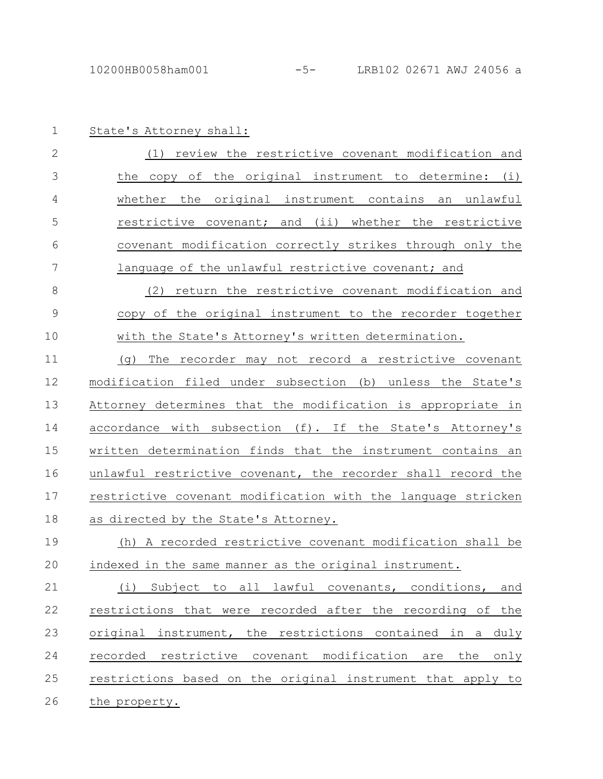State's Attorney shall: 1

| -2  | (1) review the restrictive covenant modification and     |
|-----|----------------------------------------------------------|
|     | the copy of the original instrument to determine: (i)    |
| 4   | whether the original instrument contains an unlawful     |
| - 5 | restrictive covenant; and (ii) whether the restrictive   |
| -6  | covenant modification correctly strikes through only the |
|     | language of the unlawful restrictive covenant; and       |

(2) return the restrictive covenant modification and copy of the original instrument to the recorder together with the State's Attorney's written determination. 8 9 10

(g) The recorder may not record a restrictive covenant modification filed under subsection (b) unless the State's Attorney determines that the modification is appropriate in accordance with subsection (f). If the State's Attorney's written determination finds that the instrument contains an unlawful restrictive covenant, the recorder shall record the restrictive covenant modification with the language stricken as directed by the State's Attorney. 11 12 13 14 15 16 17 18

## (h) A recorded restrictive covenant modification shall be indexed in the same manner as the original instrument. 19 20

(i) Subject to all lawful covenants, conditions, and restrictions that were recorded after the recording of the original instrument, the restrictions contained in a duly recorded restrictive covenant modification are the only restrictions based on the original instrument that apply to the property. 21 22 23 24 25 26